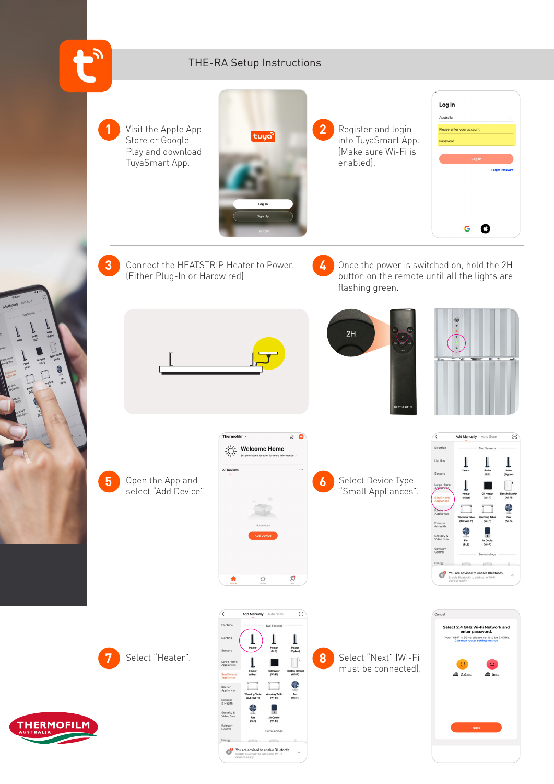

**THERMOFILM**